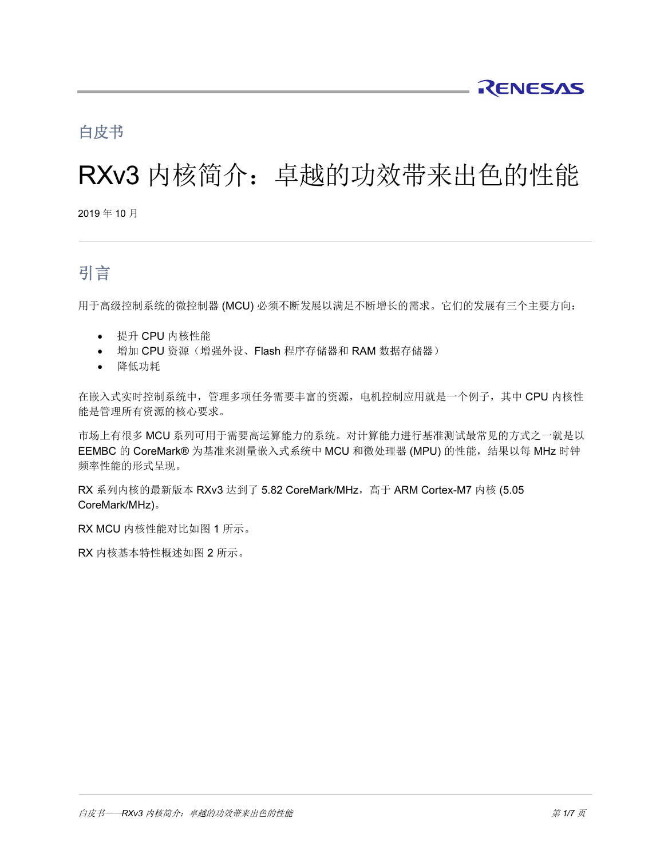# 白皮书

# RXv3 内核简介:卓越的功效带来出色的性能

2019 年 10 月

# 引言

用于高级控制系统的微控制器 (MCU) 必须不断发展以满足不断增长的需求。它们的发展有三个主要方向:

- 提升 CPU 内核性能
- 增加 CPU 资源(增强外设、Flash 程序存储器和 RAM 数据存储器)
- 降低功耗

在嵌入式实时控制系统中,管理多项任务需要丰富的资源,电机控制应用就是一个例子,其中 CPU 内核性 能是管理所有资源的核心要求。

市场上有很多 MCU 系列可用于需要高运算能力的系统。对计算能力进行基准测试最常见的方式之一就是以 EEMBC 的 CoreMark® 为基准来测量嵌入式系统中 MCU 和微处理器 (MPU) 的性能, 结果以每 MHz 时钟 频率性能的形式呈现。

RX 系列内核的最新版本 RXv3 达到了 5.82 CoreMark/MHz,高于 ARM Cortex-M7 内核 (5.05 CoreMark/MHz)。

RX MCU 内核性能对比如图 1 所示。

RX 内核基本特性概述如图 2 所示。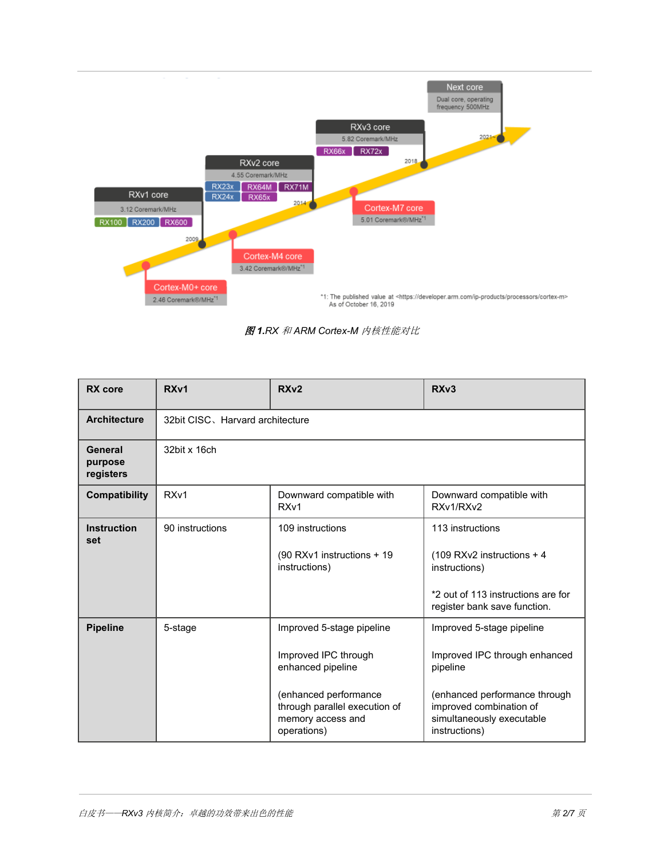

图 *1.RX* 和 *ARM Cortex-M* 内核性能对比

| RX core                         | RX <sub>v1</sub>                 | RX <sub>v2</sub>                                                                                                                                                     | RX <sub>v3</sub>                                                                                                                                                                 |  |  |  |  |  |
|---------------------------------|----------------------------------|----------------------------------------------------------------------------------------------------------------------------------------------------------------------|----------------------------------------------------------------------------------------------------------------------------------------------------------------------------------|--|--|--|--|--|
| <b>Architecture</b>             | 32bit CISC, Harvard architecture |                                                                                                                                                                      |                                                                                                                                                                                  |  |  |  |  |  |
| General<br>purpose<br>registers | 32bit x 16ch                     |                                                                                                                                                                      |                                                                                                                                                                                  |  |  |  |  |  |
| Compatibility                   | RX <sub>v1</sub>                 | Downward compatible with<br>RX <sub>v1</sub>                                                                                                                         | Downward compatible with<br>RXv1/RXv2                                                                                                                                            |  |  |  |  |  |
| <b>Instruction</b><br>set       | 90 instructions                  | 109 instructions<br>(90 RXv1 instructions + 19)<br>instructions)                                                                                                     | 113 instructions<br>$(109 R Xv2$ instructions + 4<br>instructions)<br>*2 out of 113 instructions are for<br>register bank save function.                                         |  |  |  |  |  |
| <b>Pipeline</b>                 | 5-stage                          | Improved 5-stage pipeline<br>Improved IPC through<br>enhanced pipeline<br>(enhanced performance<br>through parallel execution of<br>memory access and<br>operations) | Improved 5-stage pipeline<br>Improved IPC through enhanced<br>pipeline<br>(enhanced performance through<br>improved combination of<br>simultaneously executable<br>instructions) |  |  |  |  |  |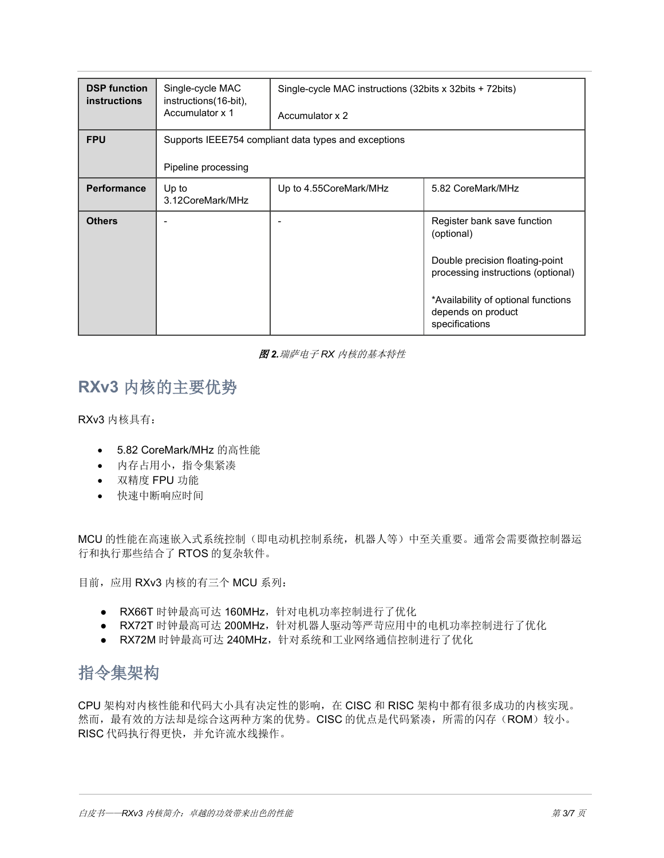| <b>DSP function</b><br><b>instructions</b> | Single-cycle MAC<br>instructions (16-bit),           | Single-cycle MAC instructions (32bits x 32bits + 72bits) |                                                                             |  |  |  |  |
|--------------------------------------------|------------------------------------------------------|----------------------------------------------------------|-----------------------------------------------------------------------------|--|--|--|--|
|                                            | Accumulator x 1                                      | Accumulator x 2                                          |                                                                             |  |  |  |  |
| <b>FPU</b>                                 | Supports IEEE754 compliant data types and exceptions |                                                          |                                                                             |  |  |  |  |
|                                            | Pipeline processing                                  |                                                          |                                                                             |  |  |  |  |
| <b>Performance</b>                         | Up to<br>3.12CoreMark/MHz                            | Up to 4.55CoreMark/MHz                                   | 5.82 CoreMark/MHz                                                           |  |  |  |  |
| <b>Others</b>                              |                                                      |                                                          | Register bank save function<br>(optional)                                   |  |  |  |  |
|                                            |                                                      |                                                          | Double precision floating-point<br>processing instructions (optional)       |  |  |  |  |
|                                            |                                                      |                                                          | *Availability of optional functions<br>depends on product<br>specifications |  |  |  |  |

#### 图 *2.*瑞萨电子 *RX* 内核的基本特性

### **RXv3** 内核的主要优势

RXv3 内核具有:

- 5.82 CoreMark/MHz 的高性能
- 内存占用小,指令集紧凑
- 双精度 FPU 功能
- 快速中断响应时间

MCU 的性能在高速嵌入式系统控制(即电动机控制系统,机器人等)中至关重要。通常会需要微控制器运 行和执行那些结合了 RTOS 的复杂软件。

目前, 应用 RXv3 内核的有三个 MCU 系列:

- RX66T 时钟最高可达 160MHz,针对电机功率控制进行了优化
- RX72T 时钟最高可达 200MHz,针对机器人驱动等严苛应用中的电机功率控制进行了优化
- RX72M 时钟最高可达 240MHz,针对系统和工业网络通信控制进行了优化

# 指令集架构

CPU 架构对内核性能和代码大小具有决定性的影响,在 CISC 和 RISC 架构中都有很多成功的内核实现。 然而,最有效的方法却是综合这两种方案的优势。CISC 的优点是代码紧凑,所需的闪存(ROM)较小。 RISC 代码执行得更快,并允许流水线操作。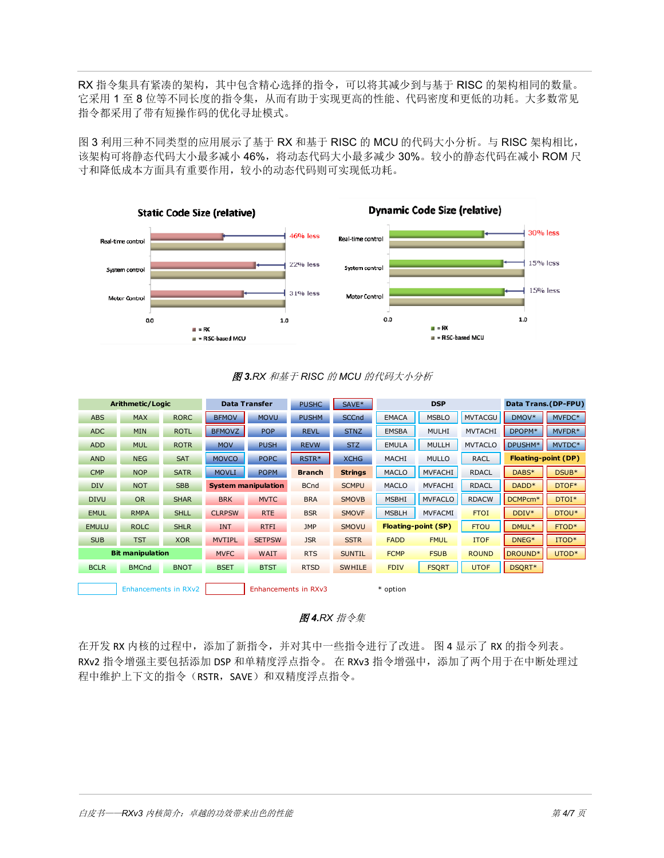RX 指令集具有紧凑的架构,其中包含精心选择的指令,可以将其减少到与基于 RISC 的架构相同的数量。 它采用 1 至 8 位等不同长度的指令集,从而有助于实现更高的性能、代码密度和更低的功耗。大多数常见 指令都采用了带有短操作码的优化寻址模式。

图 3 利用三种不同类型的应用展示了基于 RX 和基于 RISC 的 MCU 的代码大小分析。与 RISC 架构相比, 该架构可将静态代码大小最多减小 46%,将动态代码大小最多减少 30%。较小的静态代码在减小 ROM 尺 寸和降低成本方面具有重要作用,较小的动态代码则可实现低功耗。



#### 图 *3.RX* 和基于 *RISC* 的 *MCU* 的代码大小分析

| Arithmetic/Logic        |              | <b>Data Transfer</b> |                            | <b>PUSHC</b>         | SAVE*         | <b>DSP</b>     |              | Data Trans. (DP-FPU)       |                |                            |        |
|-------------------------|--------------|----------------------|----------------------------|----------------------|---------------|----------------|--------------|----------------------------|----------------|----------------------------|--------|
| <b>ABS</b>              | <b>MAX</b>   | <b>RORC</b>          | <b>BFMOV</b>               | <b>MOVU</b>          | <b>PUSHM</b>  | <b>SCCnd</b>   | <b>EMACA</b> | <b>MSBLO</b>               | <b>MVTACGU</b> | DMOV*                      | MVFDC* |
| <b>ADC</b>              | <b>MIN</b>   | <b>ROTL</b>          | <b>BFMOVZ</b>              | <b>POP</b>           | <b>REVL</b>   | <b>STNZ</b>    | <b>EMSBA</b> | <b>MULHI</b>               | <b>MVTACHI</b> | DPOPM*                     | MVFDR* |
| <b>ADD</b>              | <b>MUL</b>   | <b>ROTR</b>          | <b>MOV</b>                 | <b>PUSH</b>          | <b>REVW</b>   | STZ.           | <b>EMULA</b> | <b>MULLH</b>               | <b>MVTACLO</b> | DPUSHM*                    | MVTDC* |
| <b>AND</b>              | <b>NEG</b>   | <b>SAT</b>           | <b>MOVCO</b>               | <b>POPC</b>          | RSTR*         | <b>XCHG</b>    | <b>MACHI</b> | <b>MULLO</b>               | <b>RACL</b>    | <b>Floating-point (DP)</b> |        |
| <b>CMP</b>              | <b>NOP</b>   | <b>SATR</b>          | <b>MOVLI</b>               | <b>POPM</b>          | <b>Branch</b> | <b>Strings</b> | <b>MACLO</b> | <b>MVFACHI</b>             | <b>RDACL</b>   | DABS*                      | DSUB*  |
| <b>DIV</b>              | <b>NOT</b>   | <b>SBB</b>           | <b>System manipulation</b> |                      | <b>BCnd</b>   | <b>SCMPU</b>   | <b>MACLO</b> | <b>MVFACHI</b>             | <b>RDACL</b>   | DADD <sup>*</sup>          | DTOF*  |
| <b>DIVU</b>             | <b>OR</b>    | <b>SHAR</b>          | <b>BRK</b>                 | <b>MVTC</b>          | <b>BRA</b>    | <b>SMOVB</b>   | <b>MSBHI</b> | <b>MVFACLO</b>             | <b>RDACW</b>   | DCMPcm <sup>*</sup>        | DTOI*  |
| <b>EMUL</b>             | <b>RMPA</b>  | <b>SHLL</b>          | <b>CLRPSW</b>              | <b>RTE</b>           | <b>BSR</b>    | <b>SMOVF</b>   | <b>MSBLH</b> | <b>MVFACMI</b>             | <b>FTOI</b>    | DDIV*                      | DTOU*  |
| <b>EMULU</b>            | <b>ROLC</b>  | <b>SHLR</b>          | <b>INT</b>                 | <b>RTFI</b>          | <b>JMP</b>    | <b>SMOVU</b>   |              | <b>Floating-point (SP)</b> | <b>FTOU</b>    | DMUL*                      | FTOD*  |
| <b>SUB</b>              | <b>TST</b>   | <b>XOR</b>           | <b>MVTIPL</b>              | <b>SETPSW</b>        | <b>JSR</b>    | <b>SSTR</b>    | <b>FADD</b>  | <b>FMUL</b>                | <b>ITOF</b>    | DNEG <sup>*</sup>          | ITOD*  |
| <b>Bit manipulation</b> |              | <b>MVFC</b>          | <b>WAIT</b>                | <b>RTS</b>           | <b>SUNTIL</b> | <b>FCMP</b>    | <b>FSUB</b>  | <b>ROUND</b>               | DROUND*        | UTOD*                      |        |
| <b>BCLR</b>             | <b>BMCnd</b> | <b>BNOT</b>          | <b>BSET</b>                | <b>BTST</b>          | <b>RTSD</b>   | <b>SWHILE</b>  | <b>FDIV</b>  | <b>FSQRT</b>               | <b>UTOF</b>    | DSQRT*                     |        |
| Enhancements in RXv2    |              |                      |                            | Enhancements in RXv3 |               |                | * option     |                            |                |                            |        |

#### 图 *4.RX* 指令集

在开发 RX 内核的过程中,添加了新指令,并对其中一些指令进行了改进。 图 4 显示了 RX 的指令列表。 RXv2 指令增强主要包括添加 DSP 和单精度浮点指令。 在 RXv3 指令增强中,添加了两个用于在中断处理过 程中维护上下文的指令(RSTR,SAVE)和双精度浮点指令。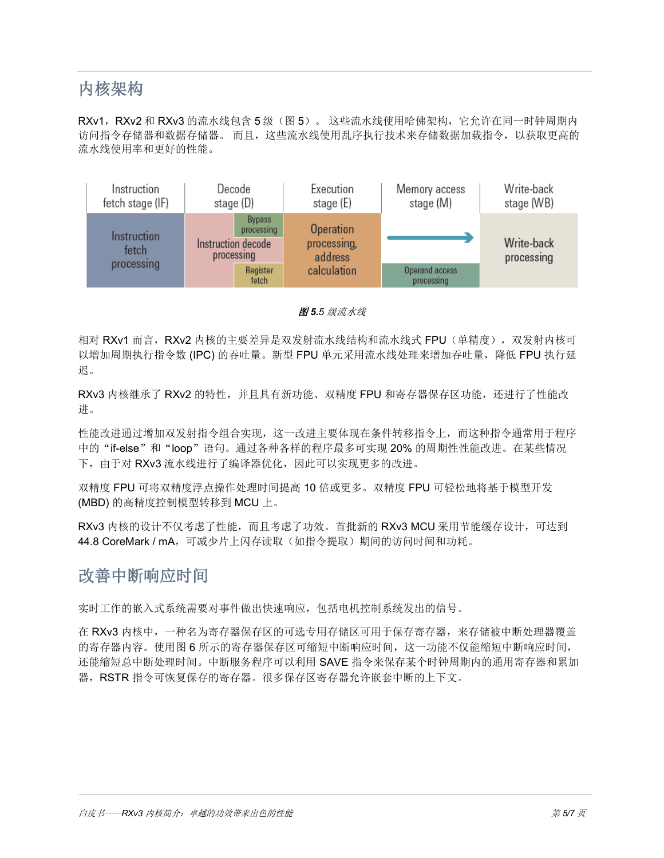# 内核架构

RXv1, RXv2 和 RXv3 的流水线包含 5 级 (图 5)。这些流水线使用哈佛架构, 它允许在同一时钟周期内 访问指令存储器和数据存储器。 而且,这些流水线使用乱序执行技术来存储数据加载指令,以获取更高的 流水线使用率和更好的性能。



图 *5.5* 级流水线

相对 RXv1 而言, RXv2 内核的主要差异是双发射流水线结构和流水线式 FPU(单精度), 双发射内核可 以增加周期执行指令数 (IPC) 的吞吐量。新型 FPU 单元采用流水线处理来增加吞吐量,降低 FPU 执行延 迟。

RXv3 内核继承了 RXv2 的特性,并且具有新功能、双精度 FPU 和寄存器保存区功能,还进行了性能改 进。

性能改进通过增加双发射指令组合实现,这一改进主要体现在条件转移指令上,而这种指令通常用于程序 中的"if-else"和"loop"语句。通过各种各样的程序最多可实现 20% 的周期性性能改进。在某些情况 下, 由于对 RXv3 流水线讲行了编译器优化, 因此可以实现更多的改讲。

双精度 FPU 可将双精度浮点操作处理时间提高 10 倍或更多。双精度 FPU 可轻松地将基于模型开发 (MBD) 的高精度控制模型转移到 MCU 上。

RXv3 内核的设计不仅考虑了性能,而且考虑了功效。首批新的 RXv3 MCU 采用节能缓存设计,可达到 44.8 CoreMark / mA, 可减少片上闪存读取(如指令提取)期间的访问时间和功耗。

### 改善中断响应时间

实时工作的嵌入式系统需要对事件做出快速响应,包括电机控制系统发出的信号。

在 RXv3 内核中,一种名为寄存器保存区的可选专用存储区可用于保存寄存器,来存储被中断处理器覆盖 的寄存器内容。使用图 6 所示的寄存器保存区可缩短中断响应时间,这一功能不仅能缩短中断响应时间, 还能缩短总中断处理时间。中断服务程序可以利用 SAVE 指令来保存某个时钟周期内的通用寄存器和累加 器,RSTR 指令可恢复保存的寄存器。很多保存区寄存器允许嵌套中断的上下文。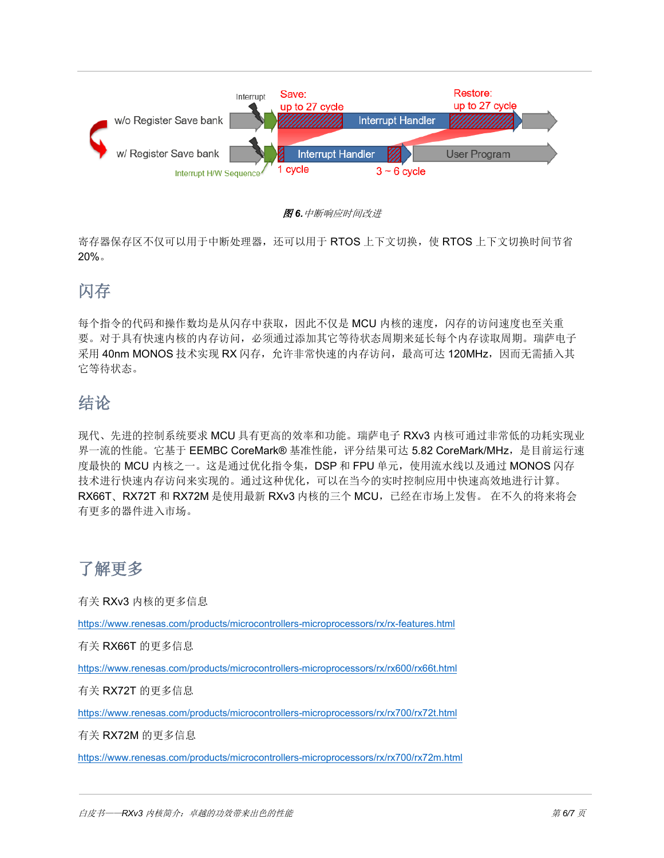

图 *6.*中断响应时间改进

寄存器保存区不仅可以用于中断处理器,还可以用于 RTOS 上下文切换,使 RTOS 上下文切换时间节省 20%。

# 闪存

每个指令的代码和操作数均是从闪存中获取,因此不仅是 MCU 内核的速度,闪存的访问速度也至关重 要。对于具有快速内核的内存访问,必须通过添加其它等待状态周期来延长每个内存读取周期。瑞萨电子  $\mathcal R$ 用 40nm MONOS 技术实现 RX 闪存, 允许非常快速的内存访问, 最高可达 120MHz, 因而无需插入其 它等待状态。

# 结论

现代、先进的控制系统要求 MCU 具有更高的效率和功能。瑞萨电子 RXv3 内核可通过非常低的功耗实现业 界一流的性能。它基于 EEMBC CoreMark® 基准性能,评分结果可达 5.82 CoreMark/MHz, 是目前运行速 度最快的 MCU 内核之一。这是通过优化指令集, DSP 和 FPU 单元, 使用流水线以及通过 MONOS 闪存 技术进行快速内存访问来实现的。通过这种优化,可以在当今的实时控制应用中快速高效地进行计算。 RX66T、RX72T 和 RX72M 是使用最新 RXv3 内核的三个 MCU, 已经在市场上发售。 在不久的将来将会 有更多的器件进入市场。

了解更多

有关 RXv3 内核的更多信息

<https://www.renesas.com/products/microcontrollers-microprocessors/rx/rx-features.html>

有关 RX66T 的更多信息

<https://www.renesas.com/products/microcontrollers-microprocessors/rx/rx600/rx66t.html>

有关 RX72T 的更多信息

<https://www.renesas.com/products/microcontrollers-microprocessors/rx/rx700/rx72t.html>

有关 RX72M 的更多信息

<https://www.renesas.com/products/microcontrollers-microprocessors/rx/rx700/rx72m.html>